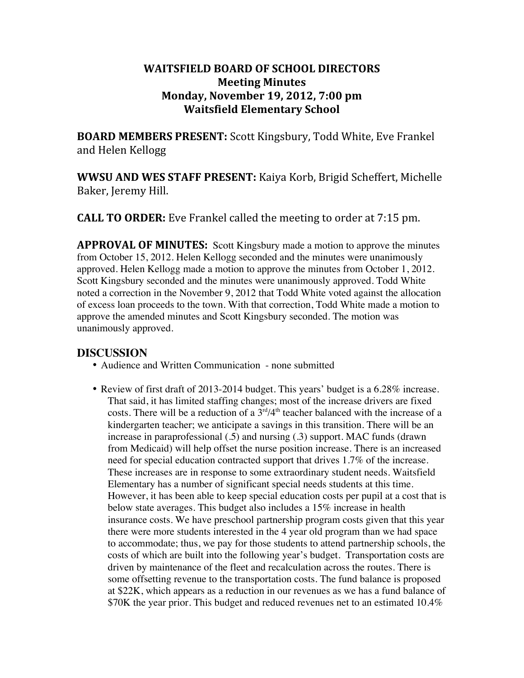## **WAITSFIELD BOARD OF SCHOOL DIRECTORS Meeting Minutes Monday, November 19, 2012, 7:00 pm Waitsfield Elementary School**

**BOARD MEMBERS PRESENT:** Scott Kingsbury, Todd White, Eve Frankel and Helen Kellogg

**WWSU AND WES STAFF PRESENT:** Kaiya Korb, Brigid Scheffert, Michelle Baker, Jeremy Hill.

**CALL TO ORDER:** Eve Frankel called the meeting to order at 7:15 pm.

**APPROVAL OF MINUTES:** Scott Kingsbury made a motion to approve the minutes from October 15, 2012. Helen Kellogg seconded and the minutes were unanimously approved. Helen Kellogg made a motion to approve the minutes from October 1, 2012. Scott Kingsbury seconded and the minutes were unanimously approved. Todd White noted a correction in the November 9, 2012 that Todd White voted against the allocation of excess loan proceeds to the town. With that correction, Todd White made a motion to approve the amended minutes and Scott Kingsbury seconded. The motion was unanimously approved.

## **DISCUSSION**

- Audience and Written Communication none submitted
- Review of first draft of 2013-2014 budget. This years' budget is a 6.28% increase. That said, it has limited staffing changes; most of the increase drivers are fixed costs. There will be a reduction of a  $3<sup>rd</sup>/4<sup>th</sup>$  teacher balanced with the increase of a kindergarten teacher; we anticipate a savings in this transition. There will be an increase in paraprofessional (.5) and nursing (.3) support. MAC funds (drawn from Medicaid) will help offset the nurse position increase. There is an increased need for special education contracted support that drives 1.7% of the increase. These increases are in response to some extraordinary student needs. Waitsfield Elementary has a number of significant special needs students at this time. However, it has been able to keep special education costs per pupil at a cost that is below state averages. This budget also includes a 15% increase in health insurance costs. We have preschool partnership program costs given that this year there were more students interested in the 4 year old program than we had space to accommodate; thus, we pay for those students to attend partnership schools, the costs of which are built into the following year's budget. Transportation costs are driven by maintenance of the fleet and recalculation across the routes. There is some offsetting revenue to the transportation costs. The fund balance is proposed at \$22K, which appears as a reduction in our revenues as we has a fund balance of \$70K the year prior. This budget and reduced revenues net to an estimated 10.4%